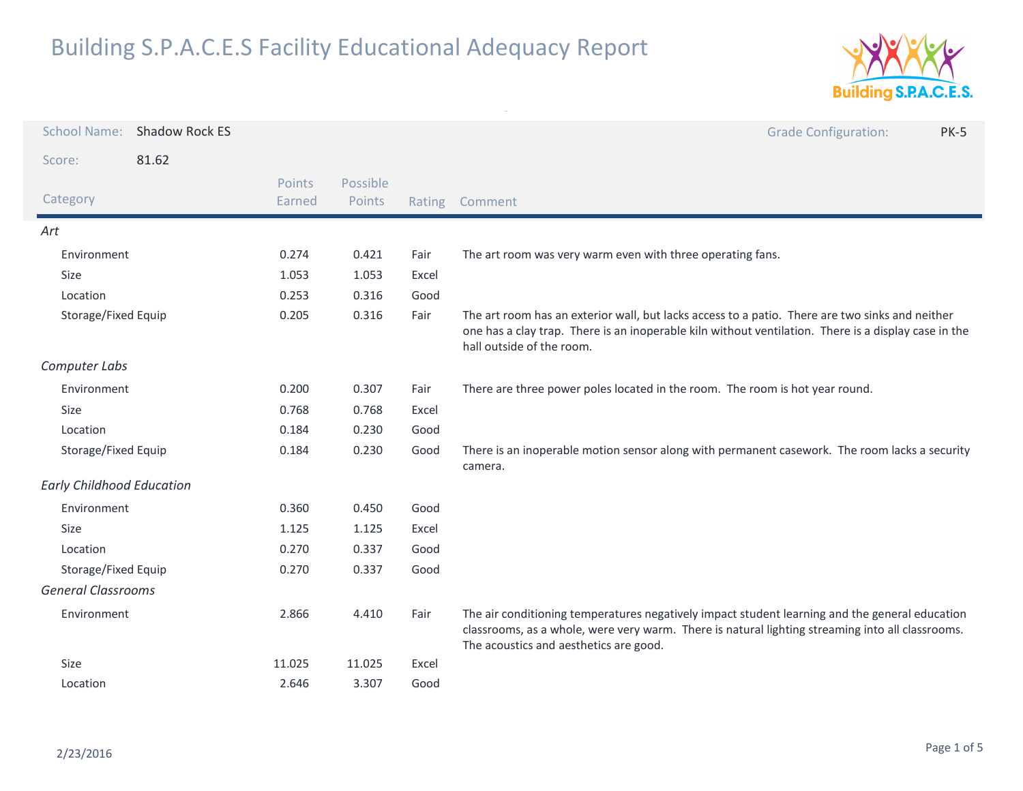

| <b>School Name:</b>              | <b>Shadow Rock ES</b> |                  |                    |       | <b>Grade Configuration:</b><br><b>PK-5</b>                                                                                                                                                                                                   |
|----------------------------------|-----------------------|------------------|--------------------|-------|----------------------------------------------------------------------------------------------------------------------------------------------------------------------------------------------------------------------------------------------|
| Score:                           | 81.62                 |                  |                    |       |                                                                                                                                                                                                                                              |
| Category                         |                       | Points<br>Earned | Possible<br>Points |       | Rating Comment                                                                                                                                                                                                                               |
| Art                              |                       |                  |                    |       |                                                                                                                                                                                                                                              |
| Environment                      |                       | 0.274            | 0.421              | Fair  | The art room was very warm even with three operating fans.                                                                                                                                                                                   |
| Size                             |                       | 1.053            | 1.053              | Excel |                                                                                                                                                                                                                                              |
| Location                         |                       | 0.253            | 0.316              | Good  |                                                                                                                                                                                                                                              |
| Storage/Fixed Equip              |                       | 0.205            | 0.316              | Fair  | The art room has an exterior wall, but lacks access to a patio. There are two sinks and neither<br>one has a clay trap. There is an inoperable kiln without ventilation. There is a display case in the<br>hall outside of the room.         |
| Computer Labs                    |                       |                  |                    |       |                                                                                                                                                                                                                                              |
| Environment                      |                       | 0.200            | 0.307              | Fair  | There are three power poles located in the room. The room is hot year round.                                                                                                                                                                 |
| Size                             |                       | 0.768            | 0.768              | Excel |                                                                                                                                                                                                                                              |
| Location                         |                       | 0.184            | 0.230              | Good  |                                                                                                                                                                                                                                              |
| Storage/Fixed Equip              |                       | 0.184            | 0.230              | Good  | There is an inoperable motion sensor along with permanent casework. The room lacks a security<br>camera.                                                                                                                                     |
| <b>Early Childhood Education</b> |                       |                  |                    |       |                                                                                                                                                                                                                                              |
| Environment                      |                       | 0.360            | 0.450              | Good  |                                                                                                                                                                                                                                              |
| Size                             |                       | 1.125            | 1.125              | Excel |                                                                                                                                                                                                                                              |
| Location                         |                       | 0.270            | 0.337              | Good  |                                                                                                                                                                                                                                              |
| Storage/Fixed Equip              |                       | 0.270            | 0.337              | Good  |                                                                                                                                                                                                                                              |
| <b>General Classrooms</b>        |                       |                  |                    |       |                                                                                                                                                                                                                                              |
| Environment                      |                       | 2.866            | 4.410              | Fair  | The air conditioning temperatures negatively impact student learning and the general education<br>classrooms, as a whole, were very warm. There is natural lighting streaming into all classrooms.<br>The acoustics and aesthetics are good. |
| Size                             |                       | 11.025           | 11.025             | Excel |                                                                                                                                                                                                                                              |
| Location                         |                       | 2.646            | 3.307              | Good  |                                                                                                                                                                                                                                              |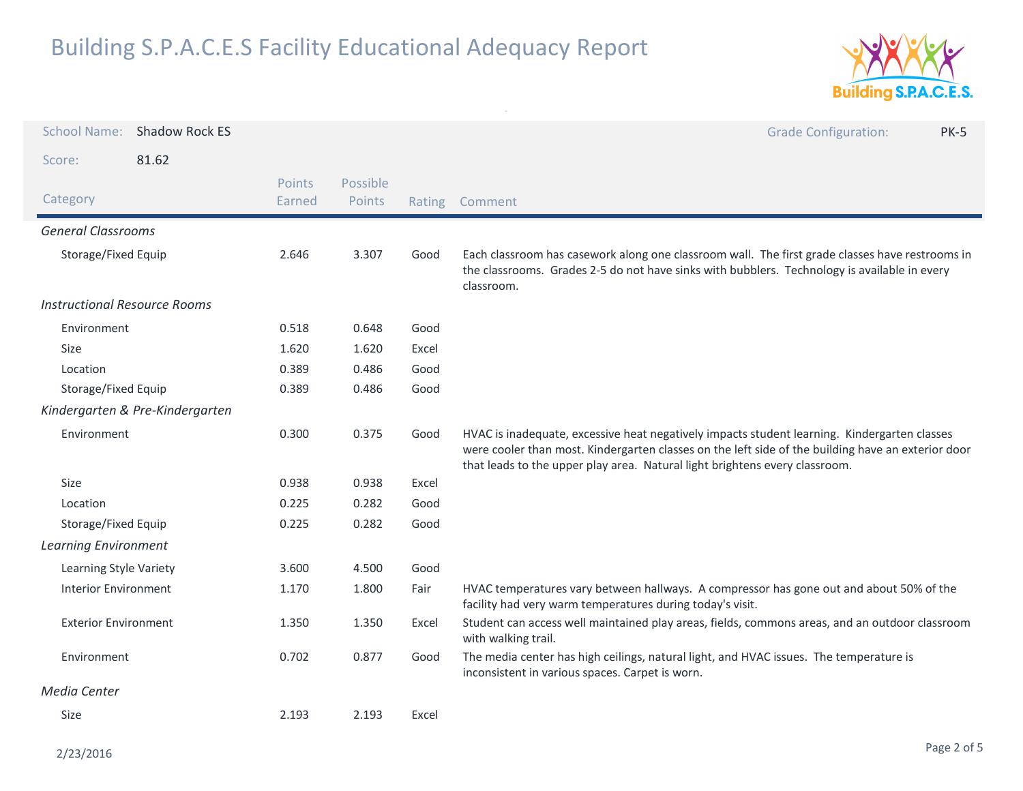

| School Name: Shadow Rock ES         |       |                  |                    |        | <b>Grade Configuration:</b><br><b>PK-5</b>                                                                                                                                                                                                                                        |
|-------------------------------------|-------|------------------|--------------------|--------|-----------------------------------------------------------------------------------------------------------------------------------------------------------------------------------------------------------------------------------------------------------------------------------|
| Score:                              | 81.62 |                  |                    |        |                                                                                                                                                                                                                                                                                   |
| Category                            |       | Points<br>Earned | Possible<br>Points | Rating | Comment                                                                                                                                                                                                                                                                           |
| <b>General Classrooms</b>           |       |                  |                    |        |                                                                                                                                                                                                                                                                                   |
| Storage/Fixed Equip                 |       | 2.646            | 3.307              | Good   | Each classroom has casework along one classroom wall. The first grade classes have restrooms in<br>the classrooms. Grades 2-5 do not have sinks with bubblers. Technology is available in every<br>classroom.                                                                     |
| <b>Instructional Resource Rooms</b> |       |                  |                    |        |                                                                                                                                                                                                                                                                                   |
| Environment                         |       | 0.518            | 0.648              | Good   |                                                                                                                                                                                                                                                                                   |
| Size                                |       | 1.620            | 1.620              | Excel  |                                                                                                                                                                                                                                                                                   |
| Location                            |       | 0.389            | 0.486              | Good   |                                                                                                                                                                                                                                                                                   |
| Storage/Fixed Equip                 |       | 0.389            | 0.486              | Good   |                                                                                                                                                                                                                                                                                   |
| Kindergarten & Pre-Kindergarten     |       |                  |                    |        |                                                                                                                                                                                                                                                                                   |
| Environment                         |       | 0.300            | 0.375              | Good   | HVAC is inadequate, excessive heat negatively impacts student learning. Kindergarten classes<br>were cooler than most. Kindergarten classes on the left side of the building have an exterior door<br>that leads to the upper play area. Natural light brightens every classroom. |
| Size                                |       | 0.938            | 0.938              | Excel  |                                                                                                                                                                                                                                                                                   |
| Location                            |       | 0.225            | 0.282              | Good   |                                                                                                                                                                                                                                                                                   |
| Storage/Fixed Equip                 |       | 0.225            | 0.282              | Good   |                                                                                                                                                                                                                                                                                   |
| <b>Learning Environment</b>         |       |                  |                    |        |                                                                                                                                                                                                                                                                                   |
| Learning Style Variety              |       | 3.600            | 4.500              | Good   |                                                                                                                                                                                                                                                                                   |
| Interior Environment                |       | 1.170            | 1.800              | Fair   | HVAC temperatures vary between hallways. A compressor has gone out and about 50% of the<br>facility had very warm temperatures during today's visit.                                                                                                                              |
| <b>Exterior Environment</b>         |       | 1.350            | 1.350              | Excel  | Student can access well maintained play areas, fields, commons areas, and an outdoor classroom<br>with walking trail.                                                                                                                                                             |
| Environment                         |       | 0.702            | 0.877              | Good   | The media center has high ceilings, natural light, and HVAC issues. The temperature is<br>inconsistent in various spaces. Carpet is worn.                                                                                                                                         |
| Media Center                        |       |                  |                    |        |                                                                                                                                                                                                                                                                                   |
| Size                                |       | 2.193            | 2.193              | Excel  |                                                                                                                                                                                                                                                                                   |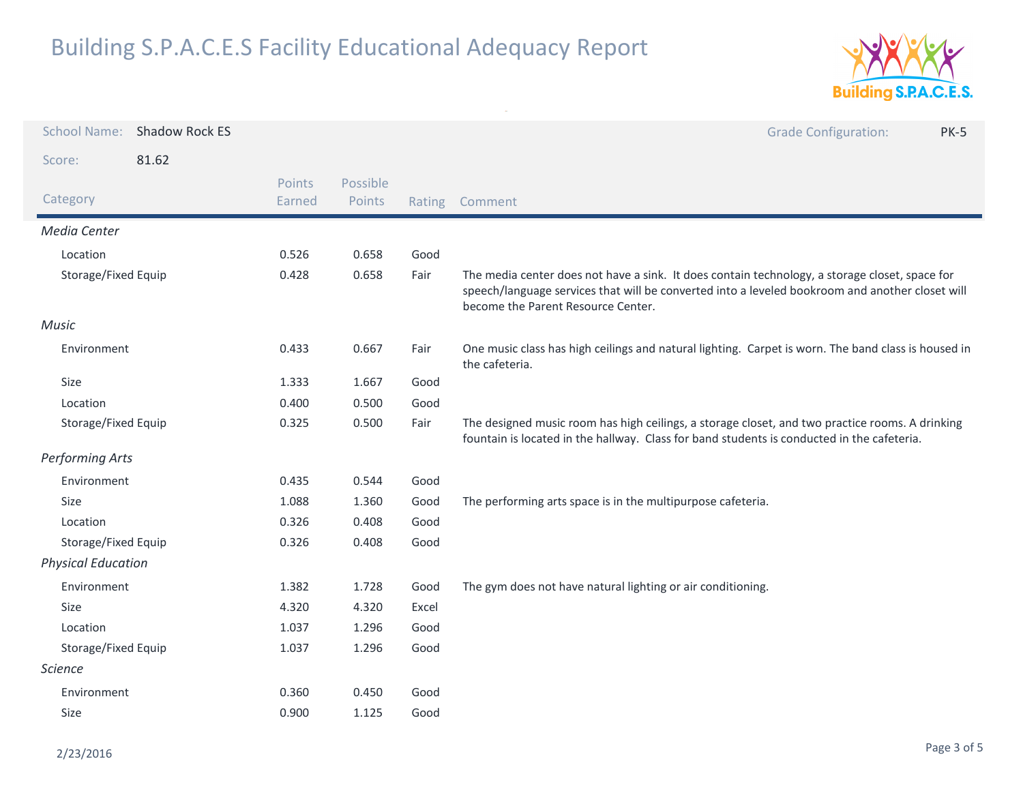

| <b>School Name:</b>       | Shadow Rock ES |                  |                    |        | <b>Grade Configuration:</b><br><b>PK-5</b>                                                                                                                                                                                              |
|---------------------------|----------------|------------------|--------------------|--------|-----------------------------------------------------------------------------------------------------------------------------------------------------------------------------------------------------------------------------------------|
| Score:                    | 81.62          |                  |                    |        |                                                                                                                                                                                                                                         |
| Category                  |                | Points<br>Earned | Possible<br>Points | Rating | Comment                                                                                                                                                                                                                                 |
| Media Center              |                |                  |                    |        |                                                                                                                                                                                                                                         |
| Location                  |                | 0.526            | 0.658              | Good   |                                                                                                                                                                                                                                         |
| Storage/Fixed Equip       |                | 0.428            | 0.658              | Fair   | The media center does not have a sink. It does contain technology, a storage closet, space for<br>speech/language services that will be converted into a leveled bookroom and another closet will<br>become the Parent Resource Center. |
| <b>Music</b>              |                |                  |                    |        |                                                                                                                                                                                                                                         |
| Environment               |                | 0.433            | 0.667              | Fair   | One music class has high ceilings and natural lighting. Carpet is worn. The band class is housed in<br>the cafeteria.                                                                                                                   |
| Size                      |                | 1.333            | 1.667              | Good   |                                                                                                                                                                                                                                         |
| Location                  |                | 0.400            | 0.500              | Good   |                                                                                                                                                                                                                                         |
| Storage/Fixed Equip       |                | 0.325            | 0.500              | Fair   | The designed music room has high ceilings, a storage closet, and two practice rooms. A drinking<br>fountain is located in the hallway. Class for band students is conducted in the cafeteria.                                           |
| <b>Performing Arts</b>    |                |                  |                    |        |                                                                                                                                                                                                                                         |
| Environment               |                | 0.435            | 0.544              | Good   |                                                                                                                                                                                                                                         |
| <b>Size</b>               |                | 1.088            | 1.360              | Good   | The performing arts space is in the multipurpose cafeteria.                                                                                                                                                                             |
| Location                  |                | 0.326            | 0.408              | Good   |                                                                                                                                                                                                                                         |
| Storage/Fixed Equip       |                | 0.326            | 0.408              | Good   |                                                                                                                                                                                                                                         |
| <b>Physical Education</b> |                |                  |                    |        |                                                                                                                                                                                                                                         |
| Environment               |                | 1.382            | 1.728              | Good   | The gym does not have natural lighting or air conditioning.                                                                                                                                                                             |
| Size                      |                | 4.320            | 4.320              | Excel  |                                                                                                                                                                                                                                         |
| Location                  |                | 1.037            | 1.296              | Good   |                                                                                                                                                                                                                                         |
| Storage/Fixed Equip       |                | 1.037            | 1.296              | Good   |                                                                                                                                                                                                                                         |
| Science                   |                |                  |                    |        |                                                                                                                                                                                                                                         |
| Environment               |                | 0.360            | 0.450              | Good   |                                                                                                                                                                                                                                         |
| Size                      |                | 0.900            | 1.125              | Good   |                                                                                                                                                                                                                                         |
|                           |                |                  |                    |        |                                                                                                                                                                                                                                         |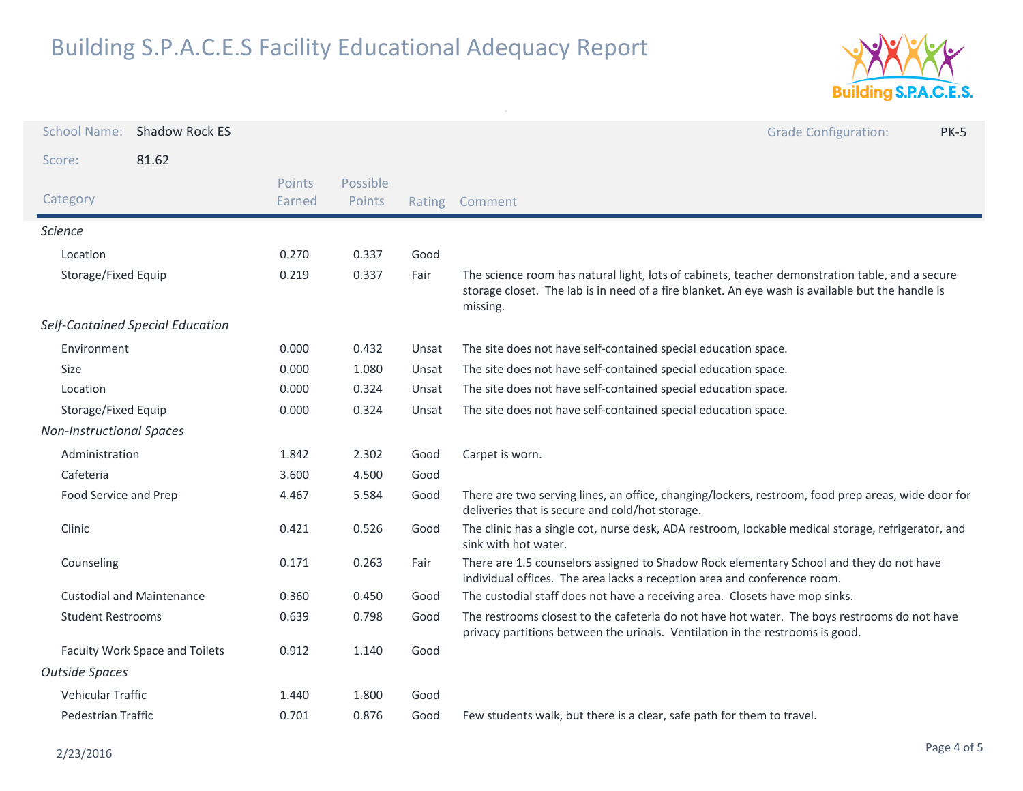

| <b>School Name:</b>              | Shadow Rock ES                   |                  |                    |        | <b>Grade Configuration:</b><br><b>PK-5</b>                                                                                                                                                                      |
|----------------------------------|----------------------------------|------------------|--------------------|--------|-----------------------------------------------------------------------------------------------------------------------------------------------------------------------------------------------------------------|
| Score:                           | 81.62                            |                  |                    |        |                                                                                                                                                                                                                 |
| Category                         |                                  | Points<br>Earned | Possible<br>Points | Rating | Comment                                                                                                                                                                                                         |
| <i>Science</i>                   |                                  |                  |                    |        |                                                                                                                                                                                                                 |
| Location                         |                                  | 0.270            | 0.337              | Good   |                                                                                                                                                                                                                 |
| Storage/Fixed Equip              |                                  | 0.219            | 0.337              | Fair   | The science room has natural light, lots of cabinets, teacher demonstration table, and a secure<br>storage closet. The lab is in need of a fire blanket. An eye wash is available but the handle is<br>missing. |
|                                  | Self-Contained Special Education |                  |                    |        |                                                                                                                                                                                                                 |
| Environment                      |                                  | 0.000            | 0.432              | Unsat  | The site does not have self-contained special education space.                                                                                                                                                  |
| Size                             |                                  | 0.000            | 1.080              | Unsat  | The site does not have self-contained special education space.                                                                                                                                                  |
| Location                         |                                  | 0.000            | 0.324              | Unsat  | The site does not have self-contained special education space.                                                                                                                                                  |
| Storage/Fixed Equip              |                                  | 0.000            | 0.324              | Unsat  | The site does not have self-contained special education space.                                                                                                                                                  |
| <b>Non-Instructional Spaces</b>  |                                  |                  |                    |        |                                                                                                                                                                                                                 |
| Administration                   |                                  | 1.842            | 2.302              | Good   | Carpet is worn.                                                                                                                                                                                                 |
| Cafeteria                        |                                  | 3.600            | 4.500              | Good   |                                                                                                                                                                                                                 |
| Food Service and Prep            |                                  | 4.467            | 5.584              | Good   | There are two serving lines, an office, changing/lockers, restroom, food prep areas, wide door for<br>deliveries that is secure and cold/hot storage.                                                           |
| Clinic                           |                                  | 0.421            | 0.526              | Good   | The clinic has a single cot, nurse desk, ADA restroom, lockable medical storage, refrigerator, and<br>sink with hot water.                                                                                      |
| Counseling                       |                                  | 0.171            | 0.263              | Fair   | There are 1.5 counselors assigned to Shadow Rock elementary School and they do not have<br>individual offices. The area lacks a reception area and conference room.                                             |
| <b>Custodial and Maintenance</b> |                                  | 0.360            | 0.450              | Good   | The custodial staff does not have a receiving area. Closets have mop sinks.                                                                                                                                     |
| <b>Student Restrooms</b>         |                                  | 0.639            | 0.798              | Good   | The restrooms closest to the cafeteria do not have hot water. The boys restrooms do not have<br>privacy partitions between the urinals. Ventilation in the restrooms is good.                                   |
| Faculty Work Space and Toilets   |                                  | 0.912            | 1.140              | Good   |                                                                                                                                                                                                                 |
| <b>Outside Spaces</b>            |                                  |                  |                    |        |                                                                                                                                                                                                                 |
| Vehicular Traffic                |                                  | 1.440            | 1.800              | Good   |                                                                                                                                                                                                                 |
| Pedestrian Traffic               |                                  | 0.701            | 0.876              | Good   | Few students walk, but there is a clear, safe path for them to travel.                                                                                                                                          |